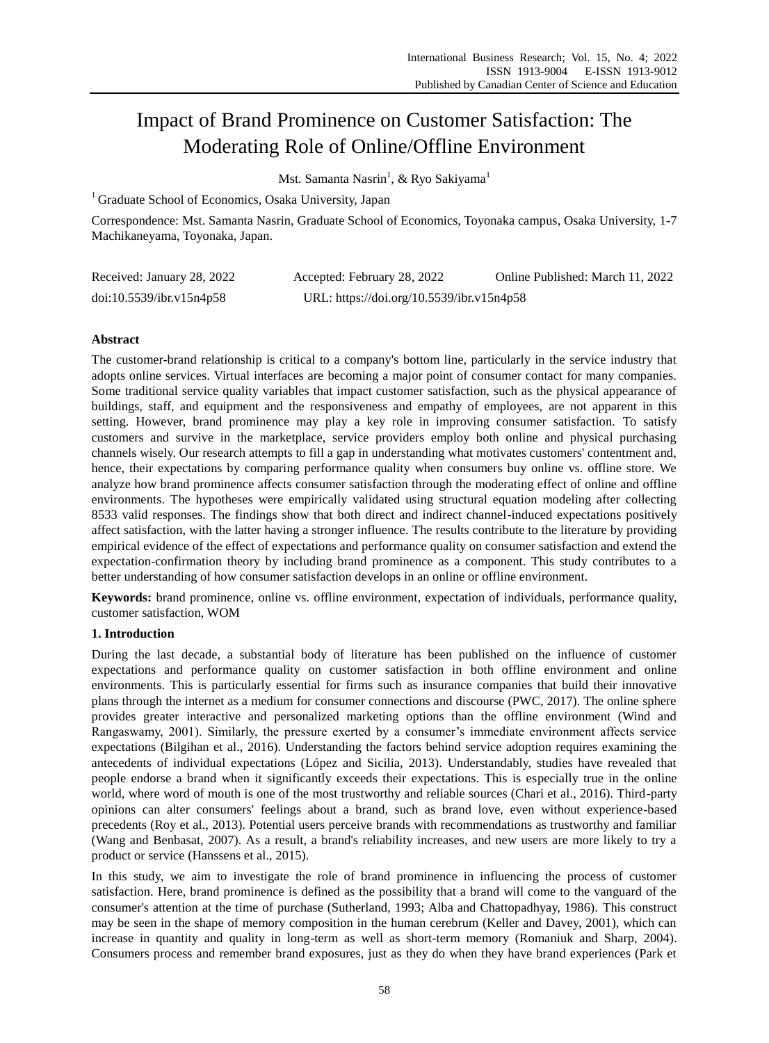# Impact of Brand Prominence on Customer Satisfaction: The Moderating Role of Online/Offline Environment

Mst. Samanta Nasrin<sup>1</sup>, & Ryo Sakiyama<sup>1</sup>

<sup>1</sup> Graduate School of Economics, Osaka University, Japan

Correspondence: Mst. Samanta Nasrin, Graduate School of Economics, Toyonaka campus, Osaka University, 1-7 Machikaneyama, Toyonaka, Japan.

| Received: January 28, 2022 | Accepted: February 28, 2022               | Online Published: March 11, 2022 |
|----------------------------|-------------------------------------------|----------------------------------|
| doi:10.5539/ibr.v15n4p58   | URL: https://doi.org/10.5539/ibr.v15n4p58 |                                  |

# **Abstract**

The customer-brand relationship is critical to a company's bottom line, particularly in the service industry that adopts online services. Virtual interfaces are becoming a major point of consumer contact for many companies. Some traditional service quality variables that impact customer satisfaction, such as the physical appearance of buildings, staff, and equipment and the responsiveness and empathy of employees, are not apparent in this setting. However, brand prominence may play a key role in improving consumer satisfaction. To satisfy customers and survive in the marketplace, service providers employ both online and physical purchasing channels wisely. Our research attempts to fill a gap in understanding what motivates customers' contentment and, hence, their expectations by comparing performance quality when consumers buy online vs. offline store. We analyze how brand prominence affects consumer satisfaction through the moderating effect of online and offline environments. The hypotheses were empirically validated using structural equation modeling after collecting 8533 valid responses. The findings show that both direct and indirect channel-induced expectations positively affect satisfaction, with the latter having a stronger influence. The results contribute to the literature by providing empirical evidence of the effect of expectations and performance quality on consumer satisfaction and extend the expectation-confirmation theory by including brand prominence as a component. This study contributes to a better understanding of how consumer satisfaction develops in an online or offline environment.

**Keywords:** brand prominence, online vs. offline environment, expectation of individuals, performance quality, customer satisfaction, WOM

# **1. Introduction**

During the last decade, a substantial body of literature has been published on the influence of customer expectations and performance quality on customer satisfaction in both offline environment and online environments. This is particularly essential for firms such as insurance companies that build their innovative plans through the internet as a medium for consumer connections and discourse (PWC, 2017). The online sphere provides greater interactive and personalized marketing options than the offline environment (Wind and Rangaswamy, 2001). Similarly, the pressure exerted by a consumer's immediate environment affects service expectations (Bilgihan et al., 2016). Understanding the factors behind service adoption requires examining the antecedents of individual expectations (López and Sicilia, 2013). Understandably, studies have revealed that people endorse a brand when it significantly exceeds their expectations. This is especially true in the online world, where word of mouth is one of the most trustworthy and reliable sources (Chari et al., 2016). Third-party opinions can alter consumers' feelings about a brand, such as brand love, even without experience-based precedents (Roy et al., 2013). Potential users perceive brands with recommendations as trustworthy and familiar (Wang and Benbasat, 2007). As a result, a brand's reliability increases, and new users are more likely to try a product or service (Hanssens et al., 2015).

In this study, we aim to investigate the role of brand prominence in influencing the process of customer satisfaction. Here, brand prominence is defined as the possibility that a brand will come to the vanguard of the consumer's attention at the time of purchase (Sutherland, 1993; Alba and Chattopadhyay, 1986). This construct may be seen in the shape of memory composition in the human cerebrum (Keller and Davey, 2001), which can increase in quantity and quality in long-term as well as short-term memory (Romaniuk and Sharp, 2004). Consumers process and remember brand exposures, just as they do when they have brand experiences (Park et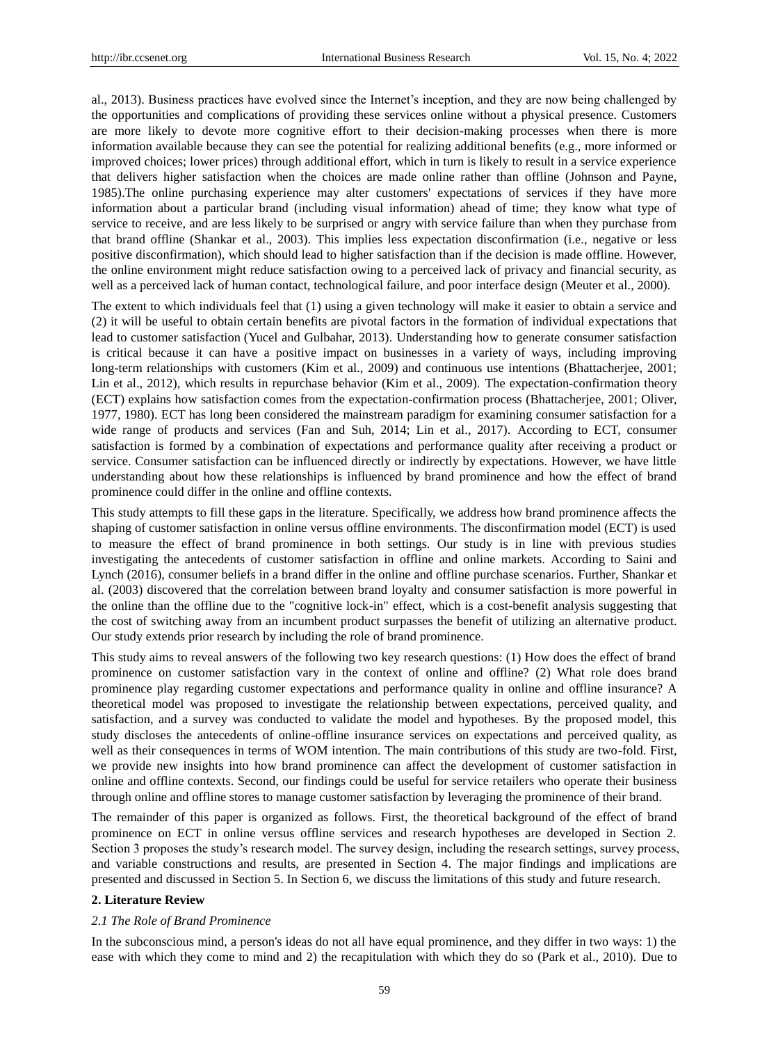al., 2013). Business practices have evolved since the Internet's inception, and they are now being challenged by the opportunities and complications of providing these services online without a physical presence. Customers are more likely to devote more cognitive effort to their decision-making processes when there is more information available because they can see the potential for realizing additional benefits (e.g., more informed or improved choices; lower prices) through additional effort, which in turn is likely to result in a service experience that delivers higher satisfaction when the choices are made online rather than offline (Johnson and Payne, 1985).The online purchasing experience may alter customers' expectations of services if they have more information about a particular brand (including visual information) ahead of time; they know what type of service to receive, and are less likely to be surprised or angry with service failure than when they purchase from that brand offline (Shankar et al., 2003). This implies less expectation disconfirmation (i.e., negative or less positive disconfirmation), which should lead to higher satisfaction than if the decision is made offline. However, the online environment might reduce satisfaction owing to a perceived lack of privacy and financial security, as well as a perceived lack of human contact, technological failure, and poor interface design (Meuter et al., 2000).

The extent to which individuals feel that (1) using a given technology will make it easier to obtain a service and (2) it will be useful to obtain certain benefits are pivotal factors in the formation of individual expectations that lead to customer satisfaction (Yucel and Gulbahar, 2013). Understanding how to generate consumer satisfaction is critical because it can have a positive impact on businesses in a variety of ways, including improving long-term relationships with customers (Kim et al., 2009) and continuous use intentions (Bhattacherjee, 2001; Lin et al., 2012), which results in repurchase behavior (Kim et al., 2009). The expectation-confirmation theory (ECT) explains how satisfaction comes from the expectation-confirmation process (Bhattacherjee, 2001; Oliver, 1977, 1980). ECT has long been considered the mainstream paradigm for examining consumer satisfaction for a wide range of products and services (Fan and Suh, 2014; Lin et al., 2017). According to ECT, consumer satisfaction is formed by a combination of expectations and performance quality after receiving a product or service. Consumer satisfaction can be influenced directly or indirectly by expectations. However, we have little understanding about how these relationships is influenced by brand prominence and how the effect of brand prominence could differ in the online and offline contexts.

This study attempts to fill these gaps in the literature. Specifically, we address how brand prominence affects the shaping of customer satisfaction in online versus offline environments. The disconfirmation model (ECT) is used to measure the effect of brand prominence in both settings. Our study is in line with previous studies investigating the antecedents of customer satisfaction in offline and online markets. According to Saini and Lynch (2016), consumer beliefs in a brand differ in the online and offline purchase scenarios. Further, Shankar et al. (2003) discovered that the correlation between brand loyalty and consumer satisfaction is more powerful in the online than the offline due to the "cognitive lock-in" effect, which is a cost-benefit analysis suggesting that the cost of switching away from an incumbent product surpasses the benefit of utilizing an alternative product. Our study extends prior research by including the role of brand prominence.

This study aims to reveal answers of the following two key research questions: (1) How does the effect of brand prominence on customer satisfaction vary in the context of online and offline? (2) What role does brand prominence play regarding customer expectations and performance quality in online and offline insurance? A theoretical model was proposed to investigate the relationship between expectations, perceived quality, and satisfaction, and a survey was conducted to validate the model and hypotheses. By the proposed model, this study discloses the antecedents of online-offline insurance services on expectations and perceived quality, as well as their consequences in terms of WOM intention. The main contributions of this study are two-fold. First, we provide new insights into how brand prominence can affect the development of customer satisfaction in online and offline contexts. Second, our findings could be useful for service retailers who operate their business through online and offline stores to manage customer satisfaction by leveraging the prominence of their brand.

The remainder of this paper is organized as follows. First, the theoretical background of the effect of brand prominence on ECT in online versus offline services and research hypotheses are developed in Section 2. Section 3 proposes the study's research model. The survey design, including the research settings, survey process, and variable constructions and results, are presented in Section 4. The major findings and implications are presented and discussed in Section 5. In Section 6, we discuss the limitations of this study and future research.

# **2. Literature Review**

#### *2.1 The Role of Brand Prominence*

In the subconscious mind, a person's ideas do not all have equal prominence, and they differ in two ways: 1) the ease with which they come to mind and 2) the recapitulation with which they do so (Park et al., 2010). Due to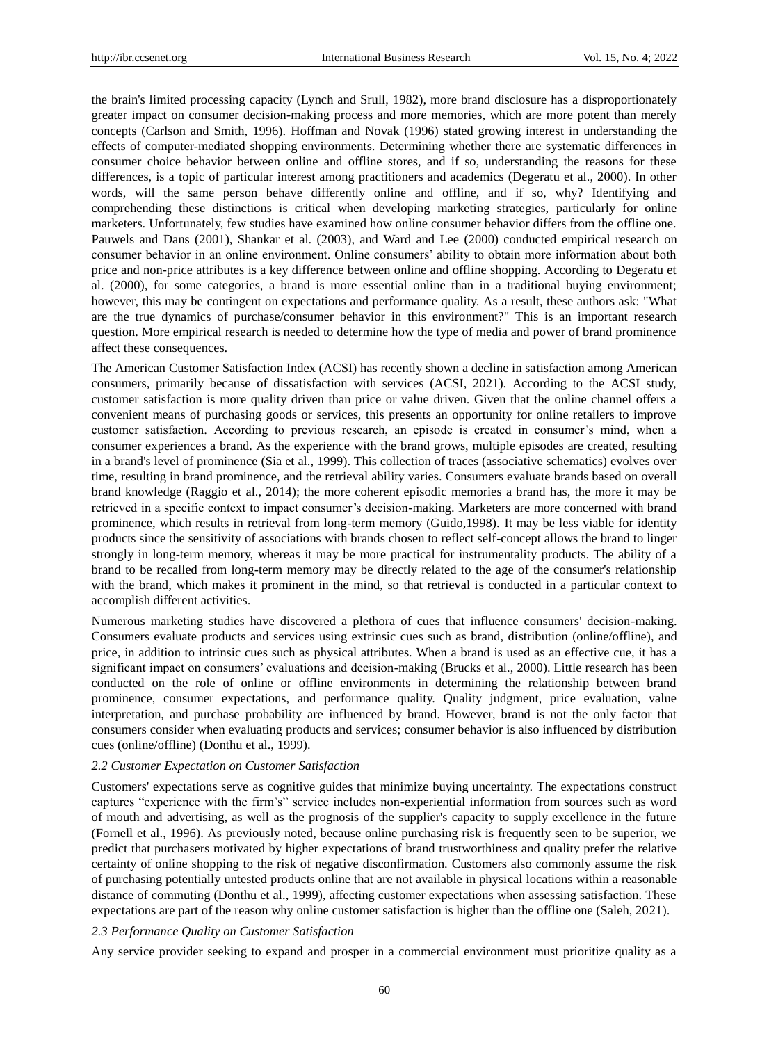the brain's limited processing capacity (Lynch and Srull, 1982), more brand disclosure has a disproportionately greater impact on consumer decision-making process and more memories, which are more potent than merely concepts (Carlson and Smith, 1996). Hoffman and Novak (1996) stated growing interest in understanding the effects of computer-mediated shopping environments. Determining whether there are systematic differences in consumer choice behavior between online and offline stores, and if so, understanding the reasons for these differences, is a topic of particular interest among practitioners and academics (Degeratu et al., 2000). In other words, will the same person behave differently online and offline, and if so, why? Identifying and comprehending these distinctions is critical when developing marketing strategies, particularly for online marketers. Unfortunately, few studies have examined how online consumer behavior differs from the offline one. Pauwels and Dans (2001), Shankar et al. (2003), and Ward and Lee (2000) conducted empirical research on consumer behavior in an online environment. Online consumers' ability to obtain more information about both price and non-price attributes is a key difference between online and offline shopping. According to Degeratu et al. (2000), for some categories, a brand is more essential online than in a traditional buying environment; however, this may be contingent on expectations and performance quality. As a result, these authors ask: "What are the true dynamics of purchase/consumer behavior in this environment?" This is an important research question. More empirical research is needed to determine how the type of media and power of brand prominence affect these consequences.

The American Customer Satisfaction Index (ACSI) has recently shown a decline in satisfaction among American consumers, primarily because of dissatisfaction with services (ACSI, 2021). According to the ACSI study, customer satisfaction is more quality driven than price or value driven. Given that the online channel offers a convenient means of purchasing goods or services, this presents an opportunity for online retailers to improve customer satisfaction. According to previous research, an episode is created in consumer's mind, when a consumer experiences a brand. As the experience with the brand grows, multiple episodes are created, resulting in a brand's level of prominence (Sia et al., 1999). This collection of traces (associative schematics) evolves over time, resulting in brand prominence, and the retrieval ability varies. Consumers evaluate brands based on overall brand knowledge (Raggio et al., 2014); the more coherent episodic memories a brand has, the more it may be retrieved in a specific context to impact consumer's decision-making. Marketers are more concerned with brand prominence, which results in retrieval from long-term memory (Guido,1998). It may be less viable for identity products since the sensitivity of associations with brands chosen to reflect self-concept allows the brand to linger strongly in long-term memory, whereas it may be more practical for instrumentality products. The ability of a brand to be recalled from long-term memory may be directly related to the age of the consumer's relationship with the brand, which makes it prominent in the mind, so that retrieval is conducted in a particular context to accomplish different activities.

Numerous marketing studies have discovered a plethora of cues that influence consumers' decision-making. Consumers evaluate products and services using extrinsic cues such as brand, distribution (online/offline), and price, in addition to intrinsic cues such as physical attributes. When a brand is used as an effective cue, it has a significant impact on consumers' evaluations and decision-making (Brucks et al., 2000). Little research has been conducted on the role of online or offline environments in determining the relationship between brand prominence, consumer expectations, and performance quality. Quality judgment, price evaluation, value interpretation, and purchase probability are influenced by brand. However, brand is not the only factor that consumers consider when evaluating products and services; consumer behavior is also influenced by distribution cues (online/offline) (Donthu et al., 1999).

# *2.2 Customer Expectation on Customer Satisfaction*

Customers' expectations serve as cognitive guides that minimize buying uncertainty. The expectations construct captures "experience with the firm's" service includes non-experiential information from sources such as word of mouth and advertising, as well as the prognosis of the supplier's capacity to supply excellence in the future (Fornell et al., 1996). As previously noted, because online purchasing risk is frequently seen to be superior, we predict that purchasers motivated by higher expectations of brand trustworthiness and quality prefer the relative certainty of online shopping to the risk of negative disconfirmation. Customers also commonly assume the risk of purchasing potentially untested products online that are not available in physical locations within a reasonable distance of commuting (Donthu et al., 1999), affecting customer expectations when assessing satisfaction. These expectations are part of the reason why online customer satisfaction is higher than the offline one (Saleh, 2021).

# *2.3 Performance Quality on Customer Satisfaction*

Any service provider seeking to expand and prosper in a commercial environment must prioritize quality as a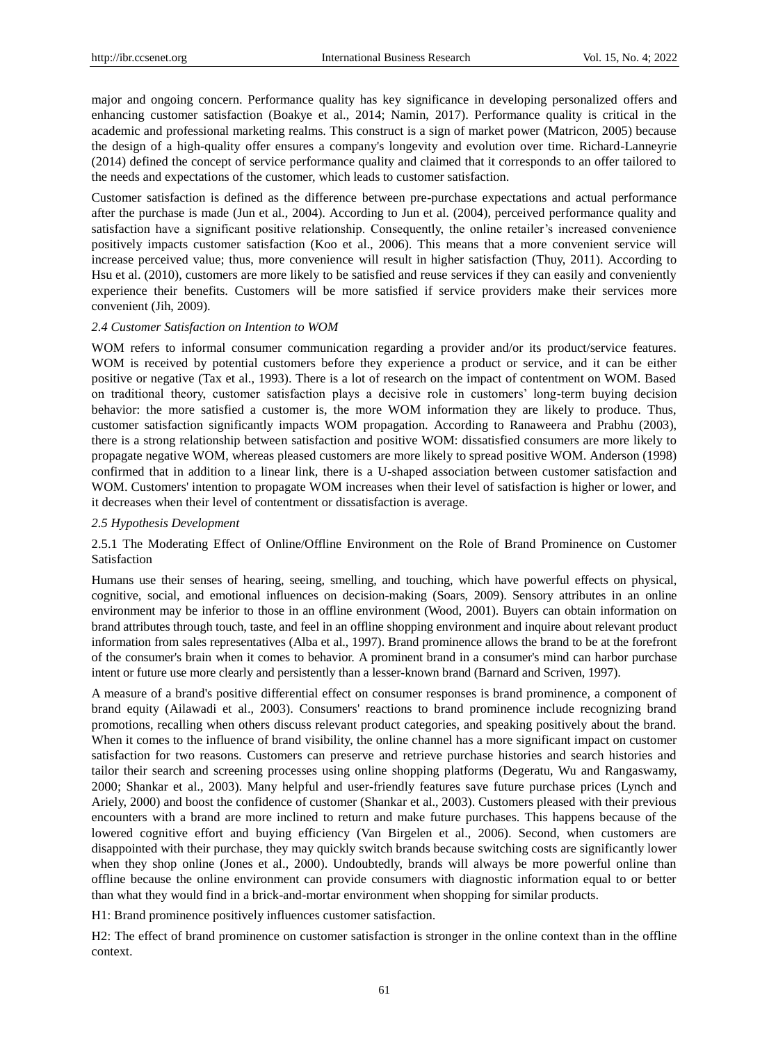major and ongoing concern. Performance quality has key significance in developing personalized offers and enhancing customer satisfaction (Boakye et al., 2014; Namin, 2017). Performance quality is critical in the academic and professional marketing realms. This construct is a sign of market power (Matricon, 2005) because the design of a high-quality offer ensures a company's longevity and evolution over time. Richard-Lanneyrie (2014) defined the concept of service performance quality and claimed that it corresponds to an offer tailored to the needs and expectations of the customer, which leads to customer satisfaction.

Customer satisfaction is defined as the difference between pre-purchase expectations and actual performance after the purchase is made (Jun et al., 2004). According to Jun et al. (2004), perceived performance quality and satisfaction have a significant positive relationship. Consequently, the online retailer's increased convenience positively impacts customer satisfaction (Koo et al., 2006). This means that a more convenient service will increase perceived value; thus, more convenience will result in higher satisfaction (Thuy, 2011). According to Hsu et al. (2010), customers are more likely to be satisfied and reuse services if they can easily and conveniently experience their benefits. Customers will be more satisfied if service providers make their services more convenient (Jih, 2009).

# *2.4 Customer Satisfaction on Intention to WOM*

WOM refers to informal consumer communication regarding a provider and/or its product/service features. WOM is received by potential customers before they experience a product or service, and it can be either positive or negative (Tax et al., 1993). There is a lot of research on the impact of contentment on WOM. Based on traditional theory, customer satisfaction plays a decisive role in customers' long-term buying decision behavior: the more satisfied a customer is, the more WOM information they are likely to produce. Thus, customer satisfaction significantly impacts WOM propagation. According to Ranaweera and Prabhu (2003), there is a strong relationship between satisfaction and positive WOM: dissatisfied consumers are more likely to propagate negative WOM, whereas pleased customers are more likely to spread positive WOM. Anderson (1998) confirmed that in addition to a linear link, there is a U-shaped association between customer satisfaction and WOM. Customers' intention to propagate WOM increases when their level of satisfaction is higher or lower, and it decreases when their level of contentment or dissatisfaction is average.

## *2.5 Hypothesis Development*

2.5.1 The Moderating Effect of Online/Offline Environment on the Role of Brand Prominence on Customer Satisfaction

Humans use their senses of hearing, seeing, smelling, and touching, which have powerful effects on physical, cognitive, social, and emotional influences on decision-making (Soars, 2009). Sensory attributes in an online environment may be inferior to those in an offline environment (Wood, 2001). Buyers can obtain information on brand attributes through touch, taste, and feel in an offline shopping environment and inquire about relevant product information from sales representatives (Alba et al., 1997). Brand prominence allows the brand to be at the forefront of the consumer's brain when it comes to behavior. A prominent brand in a consumer's mind can harbor purchase intent or future use more clearly and persistently than a lesser-known brand (Barnard and Scriven, 1997).

A measure of a brand's positive differential effect on consumer responses is brand prominence, a component of brand equity (Ailawadi et al., 2003). Consumers' reactions to brand prominence include recognizing brand promotions, recalling when others discuss relevant product categories, and speaking positively about the brand. When it comes to the influence of brand visibility, the online channel has a more significant impact on customer satisfaction for two reasons. Customers can preserve and retrieve purchase histories and search histories and tailor their search and screening processes using online shopping platforms (Degeratu, Wu and Rangaswamy, 2000; Shankar et al., 2003). Many helpful and user-friendly features save future purchase prices (Lynch and Ariely, 2000) and boost the confidence of customer (Shankar et al., 2003). Customers pleased with their previous encounters with a brand are more inclined to return and make future purchases. This happens because of the lowered cognitive effort and buying efficiency (Van Birgelen et al., 2006). Second, when customers are disappointed with their purchase, they may quickly switch brands because switching costs are significantly lower when they shop online (Jones et al., 2000). Undoubtedly, brands will always be more powerful online than offline because the online environment can provide consumers with diagnostic information equal to or better than what they would find in a brick-and-mortar environment when shopping for similar products.

H1: Brand prominence positively influences customer satisfaction.

H2: The effect of brand prominence on customer satisfaction is stronger in the online context than in the offline context.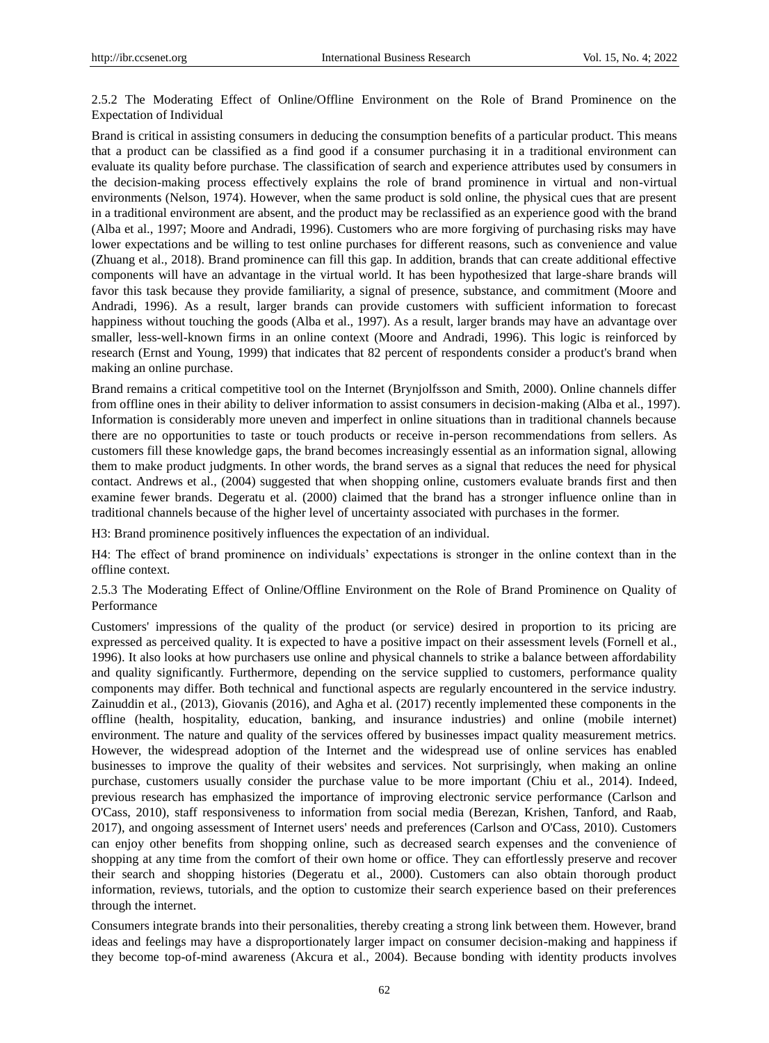2.5.2 The Moderating Effect of Online/Offline Environment on the Role of Brand Prominence on the Expectation of Individual

Brand is critical in assisting consumers in deducing the consumption benefits of a particular product. This means that a product can be classified as a find good if a consumer purchasing it in a traditional environment can evaluate its quality before purchase. The classification of search and experience attributes used by consumers in the decision-making process effectively explains the role of brand prominence in virtual and non-virtual environments (Nelson, 1974). However, when the same product is sold online, the physical cues that are present in a traditional environment are absent, and the product may be reclassified as an experience good with the brand (Alba et al., 1997; Moore and Andradi, 1996). Customers who are more forgiving of purchasing risks may have lower expectations and be willing to test online purchases for different reasons, such as convenience and value (Zhuang et al., 2018). Brand prominence can fill this gap. In addition, brands that can create additional effective components will have an advantage in the virtual world. It has been hypothesized that large-share brands will favor this task because they provide familiarity, a signal of presence, substance, and commitment (Moore and Andradi, 1996). As a result, larger brands can provide customers with sufficient information to forecast happiness without touching the goods (Alba et al., 1997). As a result, larger brands may have an advantage over smaller, less-well-known firms in an online context (Moore and Andradi, 1996). This logic is reinforced by research (Ernst and Young, 1999) that indicates that 82 percent of respondents consider a product's brand when making an online purchase.

Brand remains a critical competitive tool on the Internet (Brynjolfsson and Smith, 2000). Online channels differ from offline ones in their ability to deliver information to assist consumers in decision-making (Alba et al., 1997). Information is considerably more uneven and imperfect in online situations than in traditional channels because there are no opportunities to taste or touch products or receive in-person recommendations from sellers. As customers fill these knowledge gaps, the brand becomes increasingly essential as an information signal, allowing them to make product judgments. In other words, the brand serves as a signal that reduces the need for physical contact. Andrews et al., (2004) suggested that when shopping online, customers evaluate brands first and then examine fewer brands. Degeratu et al. (2000) claimed that the brand has a stronger influence online than in traditional channels because of the higher level of uncertainty associated with purchases in the former.

H3: Brand prominence positively influences the expectation of an individual.

H4: The effect of brand prominence on individuals' expectations is stronger in the online context than in the offline context.

2.5.3 The Moderating Effect of Online/Offline Environment on the Role of Brand Prominence on Quality of Performance

Customers' impressions of the quality of the product (or service) desired in proportion to its pricing are expressed as perceived quality. It is expected to have a positive impact on their assessment levels (Fornell et al., 1996). It also looks at how purchasers use online and physical channels to strike a balance between affordability and quality significantly. Furthermore, depending on the service supplied to customers, performance quality components may differ. Both technical and functional aspects are regularly encountered in the service industry. Zainuddin et al., (2013), Giovanis (2016), and Agha et al. (2017) recently implemented these components in the offline (health, hospitality, education, banking, and insurance industries) and online (mobile internet) environment. The nature and quality of the services offered by businesses impact quality measurement metrics. However, the widespread adoption of the Internet and the widespread use of online services has enabled businesses to improve the quality of their websites and services. Not surprisingly, when making an online purchase, customers usually consider the purchase value to be more important (Chiu et al., 2014). Indeed, previous research has emphasized the importance of improving electronic service performance (Carlson and O'Cass, 2010), staff responsiveness to information from social media (Berezan, Krishen, Tanford, and Raab, 2017), and ongoing assessment of Internet users' needs and preferences (Carlson and O'Cass, 2010). Customers can enjoy other benefits from shopping online, such as decreased search expenses and the convenience of shopping at any time from the comfort of their own home or office. They can effortlessly preserve and recover their search and shopping histories (Degeratu et al., 2000). Customers can also obtain thorough product information, reviews, tutorials, and the option to customize their search experience based on their preferences through the internet.

Consumers integrate brands into their personalities, thereby creating a strong link between them. However, brand ideas and feelings may have a disproportionately larger impact on consumer decision-making and happiness if they become top-of-mind awareness (Akcura et al., 2004). Because bonding with identity products involves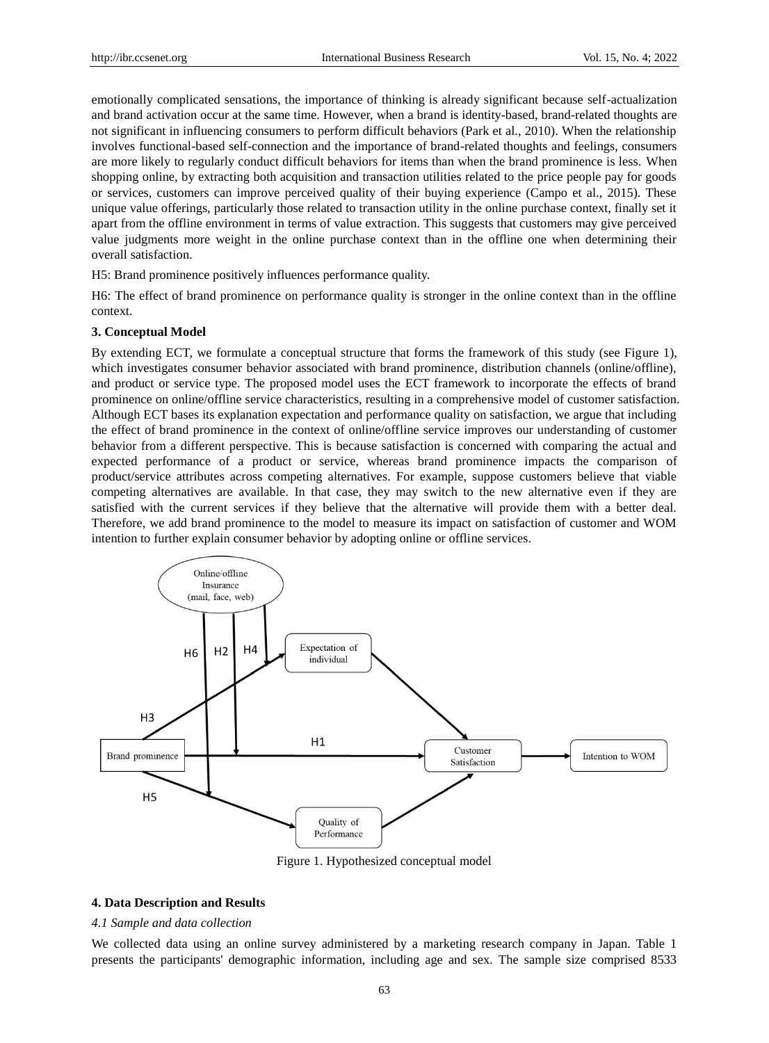emotionally complicated sensations, the importance of thinking is already significant because self-actualization and brand activation occur at the same time. However, when a brand is identity-based, brand-related thoughts are not significant in influencing consumers to perform difficult behaviors (Park et al., 2010). When the relationship involves functional-based self-connection and the importance of brand-related thoughts and feelings, consumers are more likely to regularly conduct difficult behaviors for items than when the brand prominence is less. When shopping online, by extracting both acquisition and transaction utilities related to the price people pay for goods or services, customers can improve perceived quality of their buying experience (Campo et al., 2015). These unique value offerings, particularly those related to transaction utility in the online purchase context, finally set it apart from the offline environment in terms of value extraction. This suggests that customers may give perceived value judgments more weight in the online purchase context than in the offline one when determining their overall satisfaction.

H5: Brand prominence positively influences performance quality.

H6: The effect of brand prominence on performance quality is stronger in the online context than in the offline context.

## **3. Conceptual Model**

By extending ECT, we formulate a conceptual structure that forms the framework of this study (see Figure 1), which investigates consumer behavior associated with brand prominence, distribution channels (online/offline), and product or service type. The proposed model uses the ECT framework to incorporate the effects of brand prominence on online/offline service characteristics, resulting in a comprehensive model of customer satisfaction. Although ECT bases its explanation expectation and performance quality on satisfaction, we argue that including the effect of brand prominence in the context of online/offline service improves our understanding of customer behavior from a different perspective. This is because satisfaction is concerned with comparing the actual and expected performance of a product or service, whereas brand prominence impacts the comparison of product/service attributes across competing alternatives. For example, suppose customers believe that viable competing alternatives are available. In that case, they may switch to the new alternative even if they are satisfied with the current services if they believe that the alternative will provide them with a better deal. Therefore, we add brand prominence to the model to measure its impact on satisfaction of customer and WOM intention to further explain consumer behavior by adopting online or offline services.



Figure 1. Hypothesized conceptual model

### **4. Data Description and Results**

### *4.1 Sample and data collection*

We collected data using an online survey administered by a marketing research company in Japan. Table 1 presents the participants' demographic information, including age and sex. The sample size comprised 8533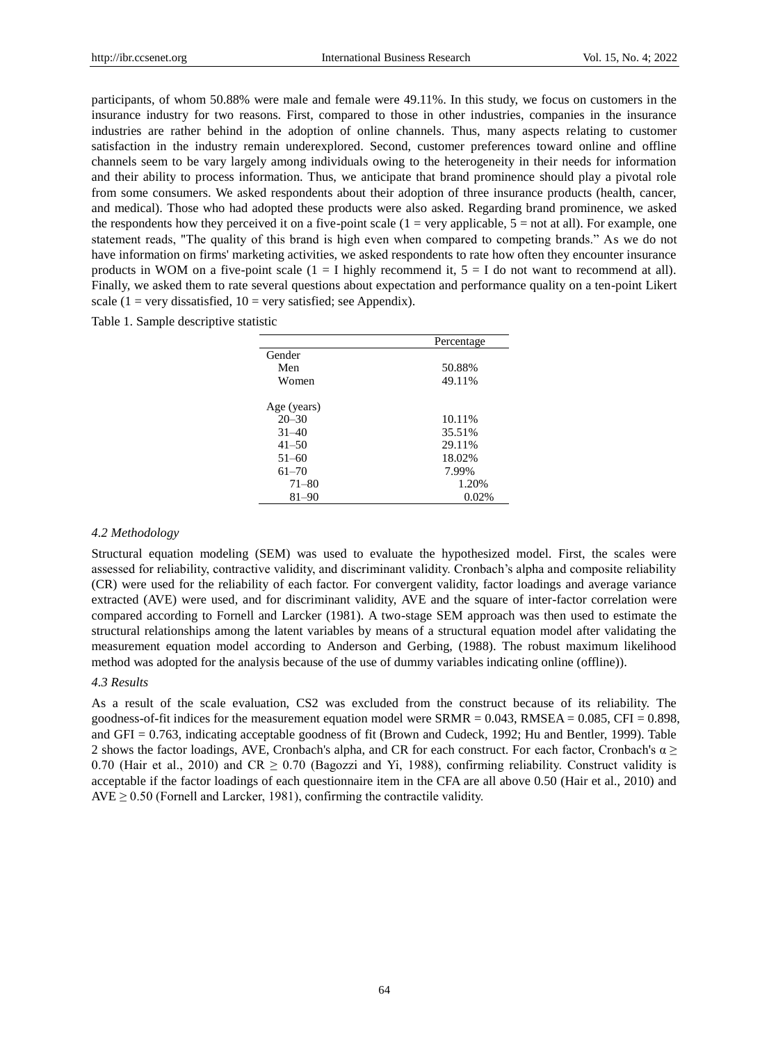participants, of whom 50.88% were male and female were 49.11%. In this study, we focus on customers in the insurance industry for two reasons. First, compared to those in other industries, companies in the insurance industries are rather behind in the adoption of online channels. Thus, many aspects relating to customer satisfaction in the industry remain underexplored. Second, customer preferences toward online and offline channels seem to be vary largely among individuals owing to the heterogeneity in their needs for information and their ability to process information. Thus, we anticipate that brand prominence should play a pivotal role from some consumers. We asked respondents about their adoption of three insurance products (health, cancer, and medical). Those who had adopted these products were also asked. Regarding brand prominence, we asked the respondents how they perceived it on a five-point scale  $(1 = \text{very applicable}, 5 = \text{not at all}).$  For example, one statement reads, "The quality of this brand is high even when compared to competing brands." As we do not have information on firms' marketing activities, we asked respondents to rate how often they encounter insurance products in WOM on a five-point scale  $(1 = I$  highly recommend it,  $5 = I$  do not want to recommend at all). Finally, we asked them to rate several questions about expectation and performance quality on a ten-point Likert scale (1 = very dissatisfied, 10 = very satisfied; see Appendix).

Table 1. Sample descriptive statistic

|             | Percentage |
|-------------|------------|
| Gender      |            |
| Men         | 50.88%     |
| Women       | 49.11%     |
|             |            |
| Age (years) |            |
| $20 - 30$   | 10.11%     |
| $31 - 40$   | 35.51%     |
| $41 - 50$   | 29.11%     |
| $51 - 60$   | 18.02%     |
| $61 - 70$   | 7.99%      |
| $71 - 80$   | 1.20%      |
| $81 - 90$   | 0.02%      |

#### *4.2 Methodology*

Structural equation modeling (SEM) was used to evaluate the hypothesized model. First, the scales were assessed for reliability, contractive validity, and discriminant validity. Cronbach's alpha and composite reliability (CR) were used for the reliability of each factor. For convergent validity, factor loadings and average variance extracted (AVE) were used, and for discriminant validity, AVE and the square of inter-factor correlation were compared according to Fornell and Larcker (1981). A two-stage SEM approach was then used to estimate the structural relationships among the latent variables by means of a structural equation model after validating the measurement equation model according to Anderson and Gerbing, (1988). The robust maximum likelihood method was adopted for the analysis because of the use of dummy variables indicating online (offline)).

# *4.3 Results*

As a result of the scale evaluation, CS2 was excluded from the construct because of its reliability. The goodness-of-fit indices for the measurement equation model were  $SRMR = 0.043$ ,  $RMSEA = 0.085$ , CFI = 0.898, and GFI = 0.763, indicating acceptable goodness of fit (Brown and Cudeck, 1992; Hu and Bentler, 1999). Table 2 shows the factor loadings, AVE, Cronbach's alpha, and CR for each construct. For each factor, Cronbach's  $\alpha \geq$ 0.70 (Hair et al., 2010) and CR  $\geq$  0.70 (Bagozzi and Yi, 1988), confirming reliability. Construct validity is acceptable if the factor loadings of each questionnaire item in the CFA are all above 0.50 (Hair et al., 2010) and  $AVE \ge 0.50$  (Fornell and Larcker, 1981), confirming the contractile validity.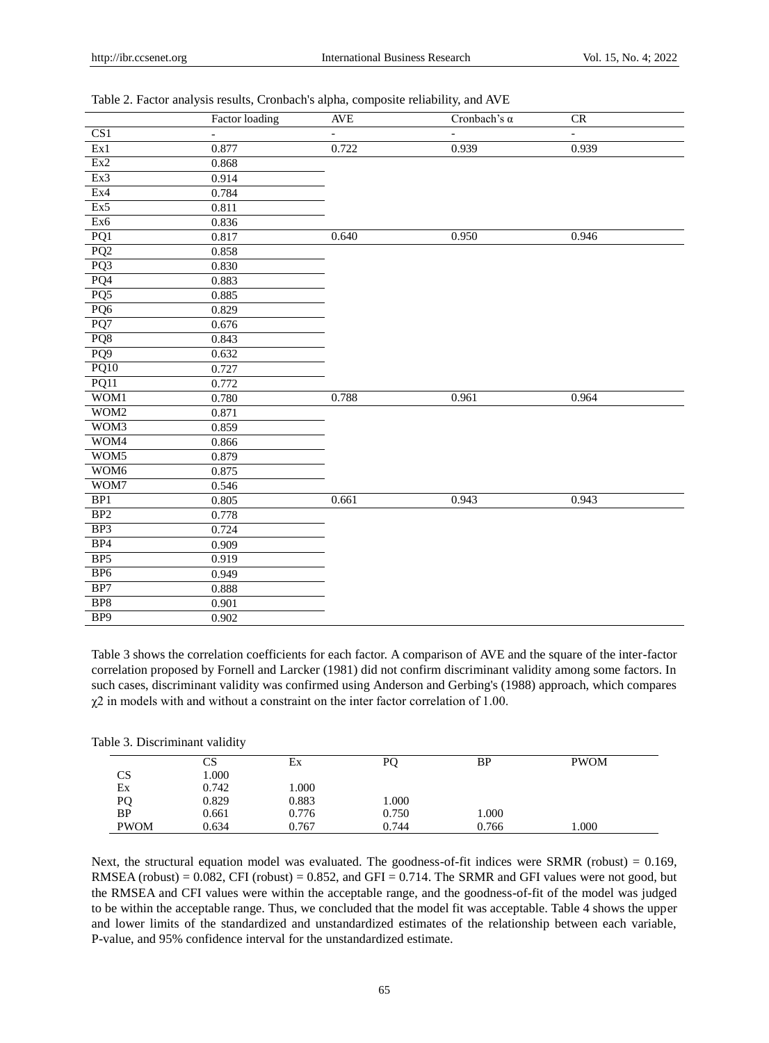|  |  |  | Table 2. Factor analysis results, Cronbach's alpha, composite reliability, and AVE |  |
|--|--|--|------------------------------------------------------------------------------------|--|
|  |  |  |                                                                                    |  |

|                  | <b>Factor loading</b>    | <b>AVE</b>     | Cronbach's $\alpha$ | CR                       |
|------------------|--------------------------|----------------|---------------------|--------------------------|
| CS1              | $\overline{\phantom{a}}$ | $\overline{a}$ | $\equiv$            | $\overline{\phantom{a}}$ |
| Ex1              | 0.877                    | 0.722          | 0.939               | 0.939                    |
| Ex2              | 0.868                    |                |                     |                          |
| Ex3              | 0.914                    |                |                     |                          |
| Ex4              | 0.784                    |                |                     |                          |
| Ex5              | 0.811                    |                |                     |                          |
| Ex6              | 0.836                    |                |                     |                          |
| PQ1              | 0.817                    | 0.640          | 0.950               | 0.946                    |
| PQ2              | 0.858                    |                |                     |                          |
| PQ3              | 0.830                    |                |                     |                          |
| PQ4              | 0.883                    |                |                     |                          |
| PQ <sub>5</sub>  | 0.885                    |                |                     |                          |
| PQ6              | 0.829                    |                |                     |                          |
| PQ7              | 0.676                    |                |                     |                          |
| PQ8              | 0.843                    |                |                     |                          |
| PQ9              | 0.632                    |                |                     |                          |
| PQ10             | 0.727                    |                |                     |                          |
| PQ11             | 0.772                    |                |                     |                          |
| WOM1             | 0.780                    | 0.788          | 0.961               | 0.964                    |
| WOM2             | 0.871                    |                |                     |                          |
| WOM3             | 0.859                    |                |                     |                          |
| WOM4             | 0.866                    |                |                     |                          |
| WOM5             | 0.879                    |                |                     |                          |
| WOM <sub>6</sub> | 0.875                    |                |                     |                          |
| WOM7             | 0.546                    |                |                     |                          |
| BP1              | 0.805                    | 0.661          | 0.943               | 0.943                    |
| BP <sub>2</sub>  | 0.778                    |                |                     |                          |
| BP <sub>3</sub>  | 0.724                    |                |                     |                          |
| BP4              | 0.909                    |                |                     |                          |
| BP <sub>5</sub>  | 0.919                    |                |                     |                          |
| BP <sub>6</sub>  | 0.949                    |                |                     |                          |
| BP7              | 0.888                    |                |                     |                          |
| BP <sub>8</sub>  | 0.901                    |                |                     |                          |
| BP9              | 0.902                    |                |                     |                          |

Table 3 shows the correlation coefficients for each factor. A comparison of AVE and the square of the inter-factor correlation proposed by Fornell and Larcker (1981) did not confirm discriminant validity among some factors. In such cases, discriminant validity was confirmed using Anderson and Gerbing's (1988) approach, which compares  $\chi$ 2 in models with and without a constraint on the inter factor correlation of 1.00.

|             | CS    | Еx    | PO    | BP    | <b>PWOM</b> |
|-------------|-------|-------|-------|-------|-------------|
| CS          | 000.1 |       |       |       |             |
| Ex          | 0.742 | 000.1 |       |       |             |
| PQ          | 0.829 | 0.883 | 000.1 |       |             |
| <b>BP</b>   | 0.661 | 0.776 | 0.750 | 000.1 |             |
| <b>PWOM</b> | 0.634 | 0.767 | 0.744 | 0.766 | 1.000       |

Next, the structural equation model was evaluated. The goodness-of-fit indices were SRMR (robust) = 0.169, RMSEA (robust) =  $0.082$ , CFI (robust) =  $0.852$ , and GFI =  $0.714$ . The SRMR and GFI values were not good, but the RMSEA and CFI values were within the acceptable range, and the goodness-of-fit of the model was judged to be within the acceptable range. Thus, we concluded that the model fit was acceptable. Table 4 shows the upper and lower limits of the standardized and unstandardized estimates of the relationship between each variable, P-value, and 95% confidence interval for the unstandardized estimate.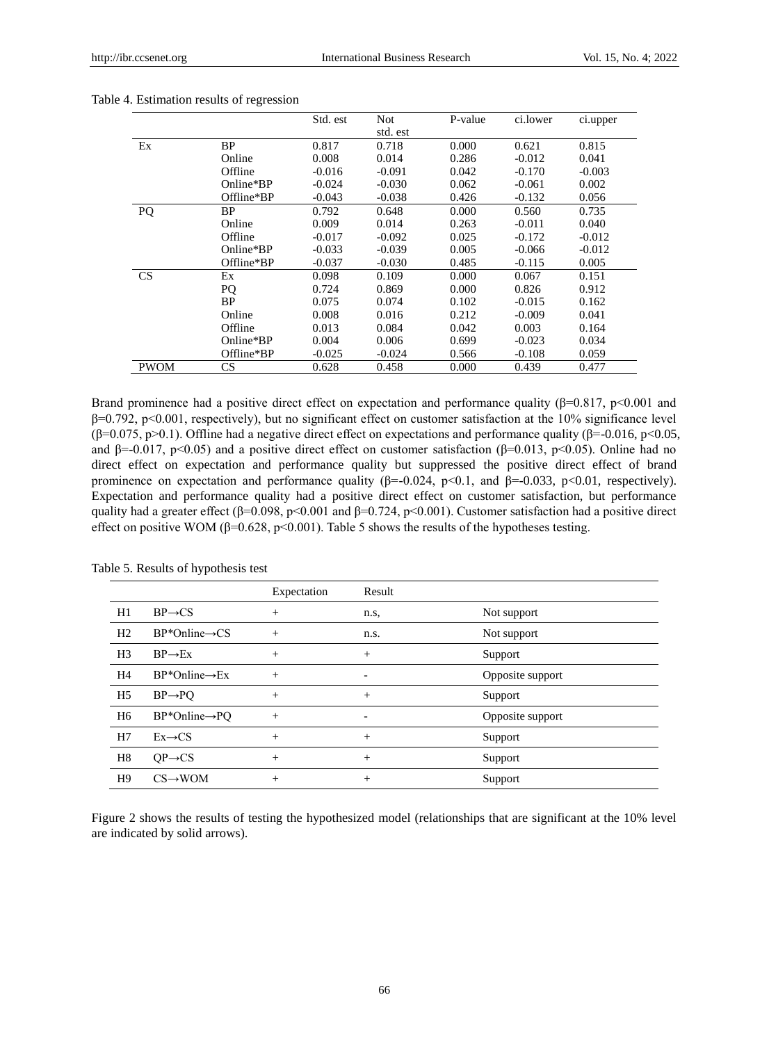|             |            | Std. est | Not.     | P-value | ci.lower | ci.upper |
|-------------|------------|----------|----------|---------|----------|----------|
|             |            |          | std. est |         |          |          |
| Ex          | BP         | 0.817    | 0.718    | 0.000   | 0.621    | 0.815    |
|             | Online     | 0.008    | 0.014    | 0.286   | $-0.012$ | 0.041    |
|             | Offline    | $-0.016$ | $-0.091$ | 0.042   | $-0.170$ | $-0.003$ |
|             | Online*BP  | $-0.024$ | $-0.030$ | 0.062   | $-0.061$ | 0.002    |
|             | Offline*BP | $-0.043$ | $-0.038$ | 0.426   | $-0.132$ | 0.056    |
| PQ          | <b>BP</b>  | 0.792    | 0.648    | 0.000   | 0.560    | 0.735    |
|             | Online     | 0.009    | 0.014    | 0.263   | $-0.011$ | 0.040    |
|             | Offline    | $-0.017$ | $-0.092$ | 0.025   | $-0.172$ | $-0.012$ |
|             | Online*BP  | $-0.033$ | $-0.039$ | 0.005   | $-0.066$ | $-0.012$ |
|             | Offline*BP | $-0.037$ | $-0.030$ | 0.485   | $-0.115$ | 0.005    |
| CS          | Ex         | 0.098    | 0.109    | 0.000   | 0.067    | 0.151    |
|             | <b>PQ</b>  | 0.724    | 0.869    | 0.000   | 0.826    | 0.912    |
|             | <b>BP</b>  | 0.075    | 0.074    | 0.102   | $-0.015$ | 0.162    |
|             | Online     | 0.008    | 0.016    | 0.212   | $-0.009$ | 0.041    |
|             | Offline    | 0.013    | 0.084    | 0.042   | 0.003    | 0.164    |
|             | Online*BP  | 0.004    | 0.006    | 0.699   | $-0.023$ | 0.034    |
|             | Offline*BP | $-0.025$ | $-0.024$ | 0.566   | $-0.108$ | 0.059    |
| <b>PWOM</b> | CS         | 0.628    | 0.458    | 0.000   | 0.439    | 0.477    |

#### Table 4. Estimation results of regression

Brand prominence had a positive direct effect on expectation and performance quality ( $\beta$ =0.817, p<0.001 and β=0.792, p<0.001, respectively), but no significant effect on customer satisfaction at the 10% significance level (β=0.075, p>0.1). Offline had a negative direct effect on expectations and performance quality (β=-0.016, p<0.05, and  $\beta$ =-0.017, p<0.05) and a positive direct effect on customer satisfaction ( $\beta$ =0.013, p<0.05). Online had no direct effect on expectation and performance quality but suppressed the positive direct effect of brand prominence on expectation and performance quality (β=-0.024, p<0.1, and β=-0.033, p<0.01, respectively). Expectation and performance quality had a positive direct effect on customer satisfaction, but performance quality had a greater effect ( $\beta$ =0.098, p<0.001 and  $\beta$ =0.724, p<0.001). Customer satisfaction had a positive direct effect on positive WOM ( $\beta$ =0.628, p<0.001). Table 5 shows the results of the hypotheses testing.

|                |                            | Expectation | Result         |                  |
|----------------|----------------------------|-------------|----------------|------------------|
| H1             | $BP \rightarrow CS$        | $^{+}$      | n.s,           | Not support      |
| H2             | $BP*Online \rightarrow CS$ | $^{+}$      | n.s.           | Not support      |
| H <sub>3</sub> | $BP \rightarrow Ex$        | $^{+}$      | $^{+}$         | Support          |
| H4             | $BP*Online \rightarrow Ex$ | $^{+}$      | $\overline{a}$ | Opposite support |
| H5             | $BP \rightarrow PO$        | $^{+}$      | $^{+}$         | Support          |
| H <sub>6</sub> | $BP*Online \rightarrow PO$ | $^{+}$      |                | Opposite support |
| H7             | $Ex \rightarrow CS$        | $^{+}$      | $^{+}$         | Support          |
| H8             | $OP \rightarrow CS$        | $^{+}$      | $^{+}$         | Support          |
| H <sub>9</sub> | $CS \rightarrow WOM$       | $^{+}$      | $^{+}$         | Support          |

Table 5. Results of hypothesis test

Figure 2 shows the results of testing the hypothesized model (relationships that are significant at the 10% level are indicated by solid arrows).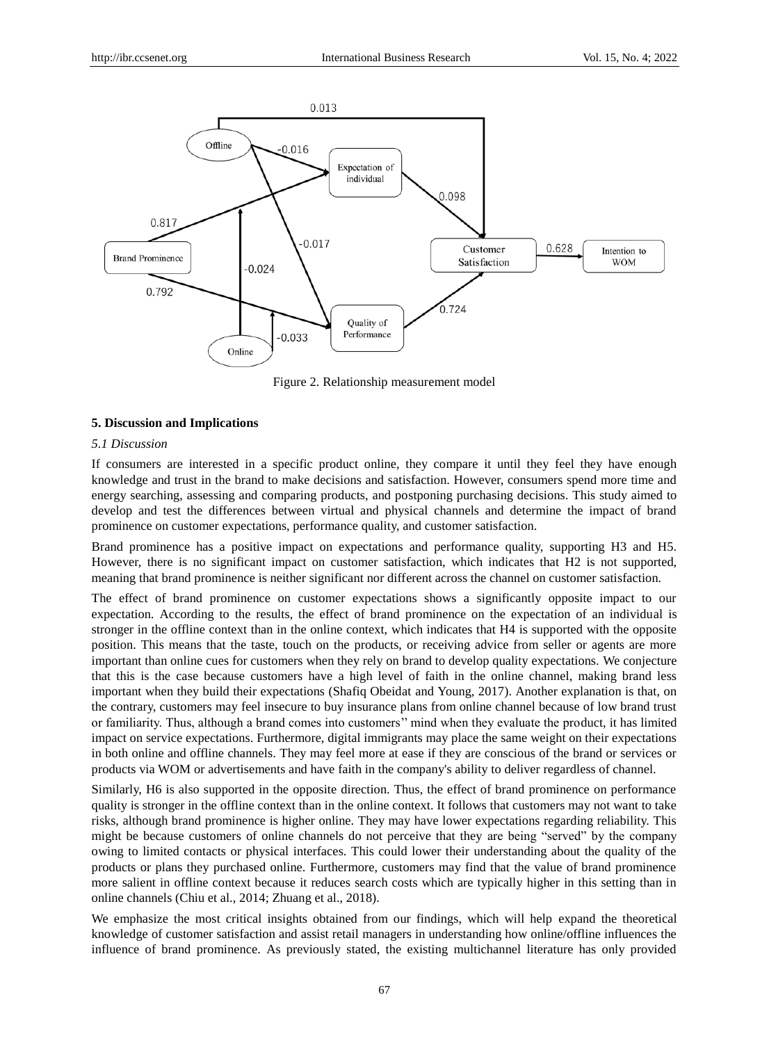

Figure 2. Relationship measurement model

#### **5. Discussion and Implications**

#### *5.1 Discussion*

If consumers are interested in a specific product online, they compare it until they feel they have enough knowledge and trust in the brand to make decisions and satisfaction. However, consumers spend more time and energy searching, assessing and comparing products, and postponing purchasing decisions. This study aimed to develop and test the differences between virtual and physical channels and determine the impact of brand prominence on customer expectations, performance quality, and customer satisfaction.

Brand prominence has a positive impact on expectations and performance quality, supporting H3 and H5. However, there is no significant impact on customer satisfaction, which indicates that H2 is not supported, meaning that brand prominence is neither significant nor different across the channel on customer satisfaction.

The effect of brand prominence on customer expectations shows a significantly opposite impact to our expectation. According to the results, the effect of brand prominence on the expectation of an individual is stronger in the offline context than in the online context, which indicates that H4 is supported with the opposite position. This means that the taste, touch on the products, or receiving advice from seller or agents are more important than online cues for customers when they rely on brand to develop quality expectations. We conjecture that this is the case because customers have a high level of faith in the online channel, making brand less important when they build their expectations (Shafiq Obeidat and Young, 2017). Another explanation is that, on the contrary, customers may feel insecure to buy insurance plans from online channel because of low brand trust or familiarity. Thus, although a brand comes into customers'' mind when they evaluate the product, it has limited impact on service expectations. Furthermore, digital immigrants may place the same weight on their expectations in both online and offline channels. They may feel more at ease if they are conscious of the brand or services or products via WOM or advertisements and have faith in the company's ability to deliver regardless of channel.

Similarly, H6 is also supported in the opposite direction. Thus, the effect of brand prominence on performance quality is stronger in the offline context than in the online context. It follows that customers may not want to take risks, although brand prominence is higher online. They may have lower expectations regarding reliability. This might be because customers of online channels do not perceive that they are being "served" by the company owing to limited contacts or physical interfaces. This could lower their understanding about the quality of the products or plans they purchased online. Furthermore, customers may find that the value of brand prominence more salient in offline context because it reduces search costs which are typically higher in this setting than in online channels (Chiu et al., 2014; Zhuang et al., 2018).

We emphasize the most critical insights obtained from our findings, which will help expand the theoretical knowledge of customer satisfaction and assist retail managers in understanding how online/offline influences the influence of brand prominence. As previously stated, the existing multichannel literature has only provided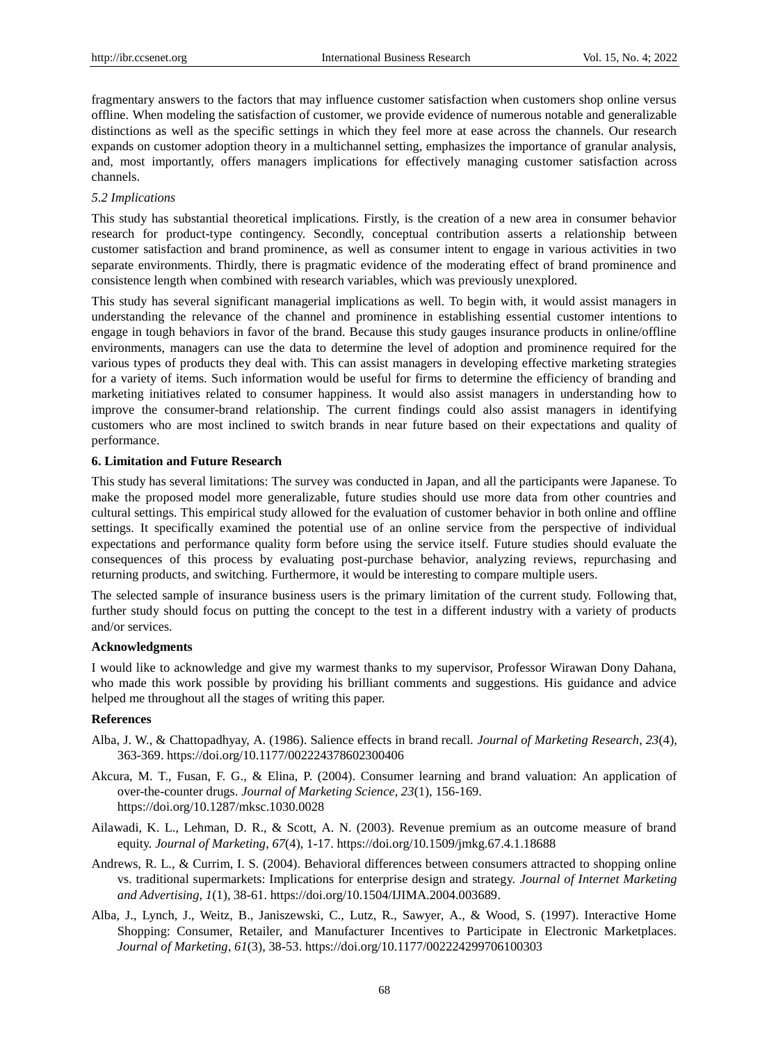fragmentary answers to the factors that may influence customer satisfaction when customers shop online versus offline. When modeling the satisfaction of customer, we provide evidence of numerous notable and generalizable distinctions as well as the specific settings in which they feel more at ease across the channels. Our research expands on customer adoption theory in a multichannel setting, emphasizes the importance of granular analysis, and, most importantly, offers managers implications for effectively managing customer satisfaction across channels.

# *5.2 Implications*

This study has substantial theoretical implications. Firstly, is the creation of a new area in consumer behavior research for product-type contingency. Secondly, conceptual contribution asserts a relationship between customer satisfaction and brand prominence, as well as consumer intent to engage in various activities in two separate environments. Thirdly, there is pragmatic evidence of the moderating effect of brand prominence and consistence length when combined with research variables, which was previously unexplored.

This study has several significant managerial implications as well. To begin with, it would assist managers in understanding the relevance of the channel and prominence in establishing essential customer intentions to engage in tough behaviors in favor of the brand. Because this study gauges insurance products in online/offline environments, managers can use the data to determine the level of adoption and prominence required for the various types of products they deal with. This can assist managers in developing effective marketing strategies for a variety of items. Such information would be useful for firms to determine the efficiency of branding and marketing initiatives related to consumer happiness. It would also assist managers in understanding how to improve the consumer-brand relationship. The current findings could also assist managers in identifying customers who are most inclined to switch brands in near future based on their expectations and quality of performance.

# **6. Limitation and Future Research**

This study has several limitations: The survey was conducted in Japan, and all the participants were Japanese. To make the proposed model more generalizable, future studies should use more data from other countries and cultural settings. This empirical study allowed for the evaluation of customer behavior in both online and offline settings. It specifically examined the potential use of an online service from the perspective of individual expectations and performance quality form before using the service itself. Future studies should evaluate the consequences of this process by evaluating post-purchase behavior, analyzing reviews, repurchasing and returning products, and switching. Furthermore, it would be interesting to compare multiple users.

The selected sample of insurance business users is the primary limitation of the current study. Following that, further study should focus on putting the concept to the test in a different industry with a variety of products and/or services.

## **Acknowledgments**

I would like to acknowledge and give my warmest thanks to my supervisor, Professor Wirawan Dony Dahana, who made this work possible by providing his brilliant comments and suggestions. His guidance and advice helped me throughout all the stages of writing this paper.

# **References**

- Alba, J. W., & Chattopadhyay, A. (1986). Salience effects in brand recall. *Journal of Marketing Research, 23*(4), 363-369. https:/[/doi.org/10.1177/002224378602300406](https://doi.org/10.1177%2F002224378602300406)
- Akcura, M. T., Fusan, F. G., & Elina, P. (2004). Consumer learning and brand valuation: An application of over-the-counter drugs. *Journal of Marketing Science, 23*(1), 156-169. https:/[/doi.org/10.1287/mksc.1030.0028](https://doi.org/10.1287/mksc.1030.0028)
- Ailawadi, K. L., Lehman, D. R., & Scott, A. N. (2003). Revenue premium as an outcome measure of brand equity. *Journal of Marketing*, *67*(4), 1-17. https:/[/doi.org/10.1509/jmkg.67.4.1.18688](https://doi.org/10.1509%2Fjmkg.67.4.1.18688)
- Andrews, R. L., & Currim, I. S. (2004). Behavioral differences between consumers attracted to shopping online vs. traditional supermarkets: Implications for enterprise design and strategy. *Journal of Internet Marketing and Advertising, 1*(1), 38-61. https://doi.org/10.1504/IJIMA.2004.003689.
- Alba, J., Lynch, J., Weitz, B., Janiszewski, C., Lutz, R., Sawyer, A., & Wood, S. (1997). Interactive Home Shopping: Consumer, Retailer, and Manufacturer Incentives to Participate in Electronic Marketplaces. *Journal of Marketing*, *61*(3), 38-53. https:/[/doi.org/10.1177/002224299706100303](https://doi.org/10.1177%2F002224299706100303)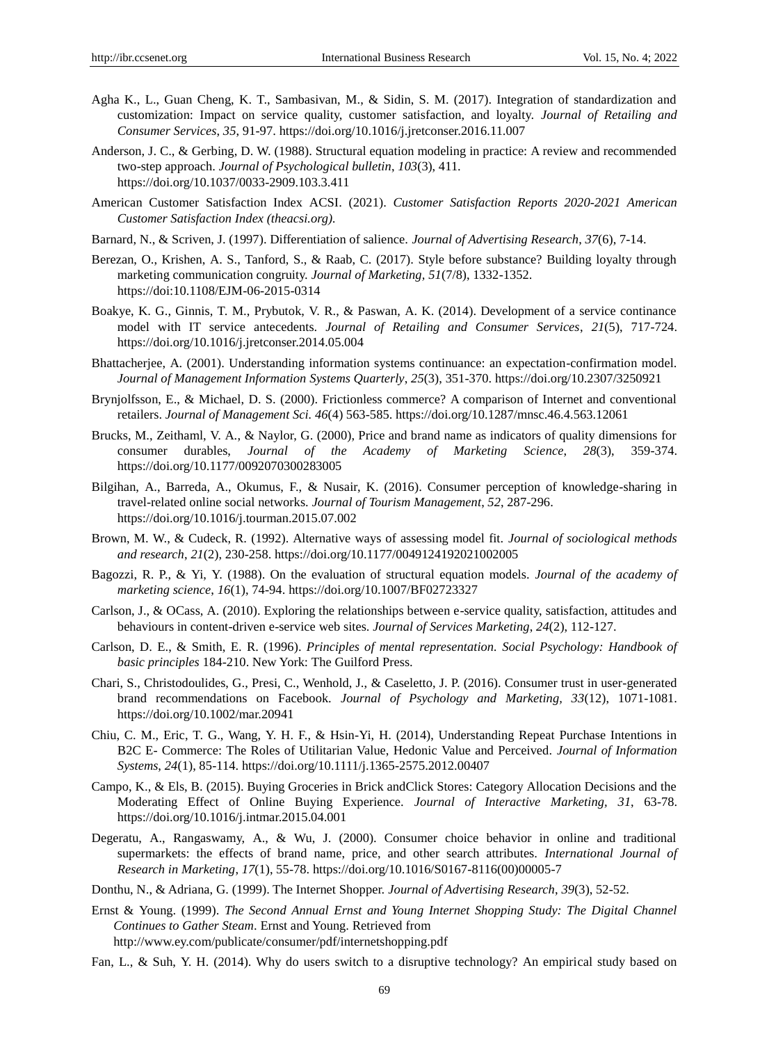- Agha K., L., Guan Cheng, K. T., Sambasivan, M., & Sidin, S. M. (2017). Integration of standardization and customization: Impact on service quality, customer satisfaction, and loyalty. *Journal of Retailing and Consumer Services*, *35*, 91-97. https://doi.org/10.1016/j.jretconser.2016.11.007
- Anderson, J. C., & Gerbing, D. W. (1988). Structural equation modeling in practice: A review and recommended two-step approach. *Journal of Psychological bulletin*, *103*(3), 411. https:/[/doi.org/10.1037/0033-2909.103.3.411](https://psycnet.apa.org/doi/10.1037/0033-2909.103.3.411)
- American Customer Satisfaction Index ACSI. (2021). *Customer Satisfaction Reports 2020-2021 American Customer Satisfaction Index (theacsi.org).*
- Barnard, N., & Scriven, J. (1997). Differentiation of salience. *Journal of Advertising Research*, *37*(6), 7-14.
- Berezan, O., Krishen, A. S., Tanford, S., & Raab, C. (2017). Style before substance? Building loyalty through marketing communication congruity. *Journal of Marketing, 51*(7/8), 1332-1352. https://doi:10.1108/EJM-06-2015-0314
- Boakye, K. G., Ginnis, T. M., Prybutok, V. R., & Paswan, A. K. (2014). Development of a service continance model with IT service antecedents. *Journal of Retailing and Consumer Services*, *21*(5), 717-724. https:/[/doi.org/10.1016/j.jretconser.2014.05.004](https://doi.org/10.1016/j.jretconser.2014.05.004)
- Bhattacherjee, A. (2001). Understanding information systems continuance: an expectation-confirmation model. *Journal of Management Information Systems Quarterly*, *25*(3), 351-370. https:/[/doi.org/10.2307/3250921](https://doi.org/10.2307/3250921)
- Brynjolfsson, E., & Michael, D. S. (2000). Frictionless commerce? A comparison of Internet and conventional retailers. *Journal of Management Sci. 46*(4) 563-585. https:/[/doi.org/10.1287/mnsc.46.4.563.12061](https://econpapers.repec.org/scripts/redir.pf?u=http%3A%2F%2Fdx.doi.org%2F10.1287%2Fmnsc.46.4.563.12061;h=repec:inm:ormnsc:v:46:y:2000:i:4:p:563-585)
- Brucks, M., Zeithaml, V. A., & Naylor, G. (2000), Price and brand name as indicators of quality dimensions for consumer durables, *Journal of the Academy of Marketing Science*, *28*(3), 359-374. https://doi.org/10.1177/0092070300283005
- Bilgihan, A., Barreda, A., Okumus, F., & Nusair, K. (2016). Consumer perception of knowledge-sharing in travel-related online social networks. *Journal of Tourism Management*, *52*, 287-296. https:/[/doi.org/10.1016/j.tourman.2015.07.002](https://doi.org/10.1016/j.tourman.2015.07.002)
- Brown, M. W., & Cudeck, R. (1992). Alternative ways of assessing model fit. *Journal of sociological methods and research*, *21*(2), 230-258. https:/[/doi.org/10.1177/0049124192021002005](https://doi.org/10.1177%2F0049124192021002005)
- Bagozzi, R. P., & Yi, Y. (1988). On the evaluation of structural equation models. *Journal of the academy of marketing science*, *16*(1), 74-94. https://doi.org/10.1007/BF02723327
- Carlson, J., & OCass, A. (2010). Exploring the relationships between e-service quality, satisfaction, attitudes and behaviours in content-driven e-service web sites. *Journal of Services Marketing*, *24*(2), 112-127.
- Carlson, D. E., & Smith, E. R. (1996). *Principles of mental representation. Social Psychology: Handbook of basic principles* 184-210. New York: The Guilford Press.
- Chari, S., Christodoulides, G., Presi, C., Wenhold, J., & Caseletto, J. P. (2016). Consumer trust in user-generated brand recommendations on Facebook. *Journal of Psychology and Marketing, 33*(12), 1071-1081. <https://doi.org/10.1002/mar.20941>
- Chiu, C. M., Eric, T. G., Wang, Y. H. F., & Hsin-Yi, H. (2014), Understanding Repeat Purchase Intentions in B2C E- Commerce: The Roles of Utilitarian Value, Hedonic Value and Perceived. *Journal of Information Systems*, *24*(1), 85-114. https://doi.org/10.1111/j.1365-2575.2012.00407
- Campo, K., & Els, B. (2015). Buying Groceries in Brick andClick Stores: Category Allocation Decisions and the Moderating Effect of Online Buying Experience. *Journal of Interactive Marketing, 31*, 63-78. https://doi.org/10.1016/j.intmar.2015.04.001
- Degeratu, A., Rangaswamy, A., & Wu, J. (2000). Consumer choice behavior in online and traditional supermarkets: the effects of brand name, price, and other search attributes. *International Journal of Research in Marketing*, *17*(1), 55-78. https:/[/doi.org/10.1016/S0167-8116\(00\)00005-7](https://doi.org/10.1016/S0167-8116(00)00005-7)
- Donthu, N., & Adriana, G. (1999). The Internet Shopper. *Journal of Advertising Research*, *39*(3), 52-52.
- Ernst & Young. (1999). *The Second Annual Ernst and Young Internet Shopping Study: The Digital Channel Continues to Gather Steam*. Ernst and Young. Retrieved from http://www.ey.com/publicate/consumer/pdf/internetshopping.pdf
- Fan, L., & Suh, Y. H. (2014). Why do users switch to a disruptive technology? An empirical study based on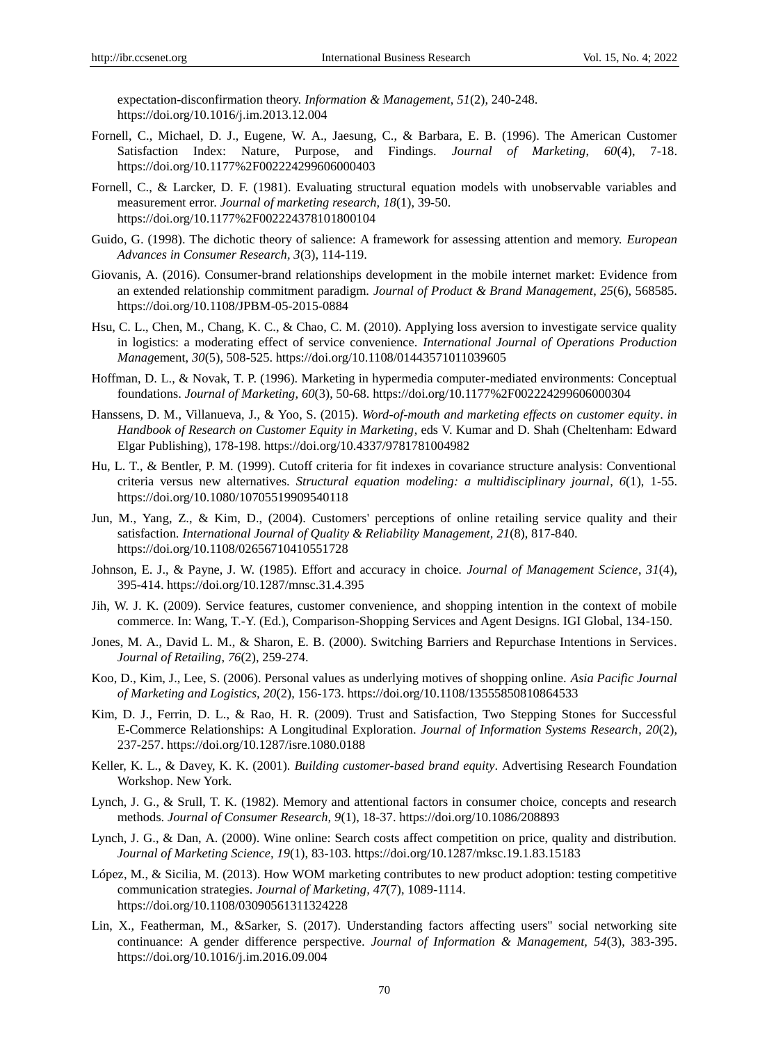expectation-disconfirmation theory. *Information & Management*, *51*(2), 240-248. https:/[/doi.org/10.1016/j.im.2013.12.004](https://doi.org/10.1016/j.im.2013.12.004)

- Fornell, C., Michael, D. J., Eugene, W. A., Jaesung, C., & Barbara, E. B. (1996). The American Customer Satisfaction Index: Nature, Purpose, and Findings. *Journal of Marketing*, *60*(4), 7-18. https:/[/doi.org/10.1177%2F002224299606000403](https://doi.org/10.1177%2F002224299606000403)
- Fornell, C., & Larcker, D. F. (1981). Evaluating structural equation models with unobservable variables and measurement error. *Journal of marketing research, 18*(1), 39-50. https:/[/doi.org/10.1177%2F002224378101800104](https://doi.org/10.1177%2F002224378101800104)
- Guido, G. (1998). The dichotic theory of salience: A framework for assessing attention and memory. *European Advances in Consumer Research, 3*(3), 114-119.
- Giovanis, A. (2016). Consumer-brand relationships development in the mobile internet market: Evidence from an extended relationship commitment paradigm. *Journal of Product & Brand Management*, *25*(6), 568585. https://doi.org/10.1108/JPBM-05-2015-0884
- Hsu, C. L., Chen, M., Chang, K. C., & Chao, C. M. (2010). Applying loss aversion to investigate service quality in logistics: a moderating effect of service convenience. *International Journal of Operations Production Manag*ement, *30*(5), 508-525. https:/[/doi.org/10.1108/01443571011039605](https://doi.org/10.1108/01443571011039605)
- Hoffman, D. L., & Novak, T. P. (1996). Marketing in hypermedia computer-mediated environments: Conceptual foundations. *Journal of Marketing, 60*(3), 50-68. https:/[/doi.org/10.1177%2F002224299606000304](https://doi.org/10.1177%2F002224299606000304)
- Hanssens, D. M., Villanueva, J., & Yoo, S. (2015). *Word-of-mouth and marketing effects on customer equity*. *in Handbook of Research on Customer Equity in Marketing*, eds V. Kumar and D. Shah (Cheltenham: Edward Elgar Publishing), 178-198. https:/[/doi.org/10.4337/9781781004982](https://doi.org/10.4337/9781781004982)
- Hu, L. T., & Bentler, P. M. (1999). Cutoff criteria for fit indexes in covariance structure analysis: Conventional criteria versus new alternatives. *Structural equation modeling: a multidisciplinary journal*, *6*(1), 1-55. https:/[/doi.org/10.1080/10705519909540118](https://doi.org/10.1080/10705519909540118)
- Jun, M., Yang, Z., & Kim, D., (2004). Customers' perceptions of online retailing service quality and their satisfaction*. International Journal of Quality & Reliability Management, 21*(8), 817-840. <https://doi.org/10.1108/02656710410551728>
- Johnson, E. J., & Payne, J. W. (1985). Effort and accuracy in choice. *Journal of Management Science*, *31*(4), 395-414.<https://doi.org/10.1287/mnsc.31.4.395>
- Jih, W. J. K. (2009). Service features, customer convenience, and shopping intention in the context of mobile commerce. In: Wang, T.-Y. (Ed.), Comparison-Shopping Services and Agent Designs. IGI Global, 134-150.
- Jones, M. A., David L. M., & Sharon, E. B. (2000). Switching Barriers and Repurchase Intentions in Services. *Journal of Retailing*, *76*(2), 259-274.
- Koo, D., Kim, J., Lee, S. (2006). Personal values as underlying motives of shopping online. *Asia Pacific Journal of Marketing and Logistics, 20*(2), 156-173. https:[//doi.org/10.1108/13555850810864533](https://doi.org/10.1108/13555850810864533)
- Kim, D. J., Ferrin, D. L., & Rao, H. R. (2009). Trust and Satisfaction, Two Stepping Stones for Successful E-Commerce Relationships: A Longitudinal Exploration*. Journal of Information Systems Research*, *20*(2), 237-257. https:/[/doi.org/10.1287/isre.1080.0188](https://doi.org/10.1287/isre.1080.0188)
- Keller, K. L., & Davey, K. K. (2001). *Building customer-based brand equity*. Advertising Research Foundation Workshop. New York.
- Lynch, J. G., & Srull, T. K. (1982). Memory and attentional factors in consumer choice, concepts and research methods. *Journal of Consumer Research, 9*(1), 18-37. https:/[/doi.org/10.1086/208893](https://doi.org/10.1086/208893)
- Lynch, J. G., & Dan, A. (2000). Wine online: Search costs affect competition on price, quality and distribution. *Journal of Marketing Science, 19*(1), 83-103. https:/[/doi.org/10.1287/mksc.19.1.83.15183](https://doi.org/10.1287/mksc.19.1.83.15183)
- López, M., & Sicilia, M. (2013). How WOM marketing contributes to new product adoption: testing competitive communication strategies. *Journal of Marketing, 47*(7), 1089-1114. https:/[/doi.org/10.1108/03090561311324228](https://doi.org/10.1108/03090561311324228)
- Lin, X., Featherman, M., &Sarker, S. (2017). Understanding factors affecting users'' social networking site continuance: A gender difference perspective*. Journal of Information & Management, 54*(3), 383-395. https:/[/doi.org/10.1016/j.im.2016.09.004](https://doi.org/10.1016/j.im.2016.09.004)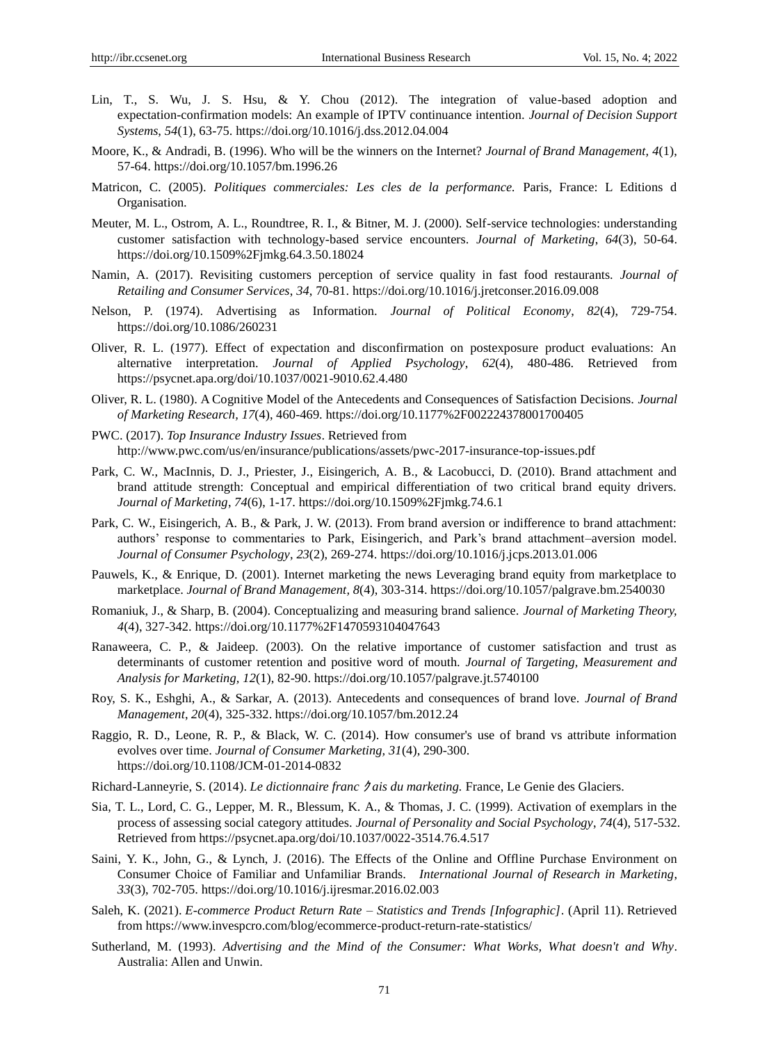- Lin, T., S. Wu, J. S. Hsu, & Y. Chou (2012). The integration of value-based adoption and expectation-confirmation models: An example of IPTV continuance intention. *Journal of Decision Support Systems*, *54*(1), 63-75. https:/[/doi.org/10.1016/j.dss.2012.04.004](https://doi.org/10.1016/j.dss.2012.04.004)
- Moore, K., & Andradi, B. (1996). Who will be the winners on the Internet? *Journal of Brand Management, 4*(1), 57-64.<https://doi.org/10.1057/bm.1996.26>
- Matricon, C. (2005). *Politiques commerciales: Les cles de la performance.* Paris, France: L Editions d Organisation.
- Meuter, M. L., Ostrom, A. L., Roundtree, R. I., & Bitner, M. J. (2000). Self-service technologies: understanding customer satisfaction with technology-based service encounters. *Journal of Marketing*, *64*(3), 50-64. <https://doi.org/10.1509%2Fjmkg.64.3.50.18024>
- Namin, A. (2017). Revisiting customers perception of service quality in fast food restaurants. *Journal of Retailing and Consumer Services*, *34*, 70-81. https://doi.org/10.1016/j.jretconser.2016.09.008
- Nelson, P. (1974). Advertising as Information. *Journal of Political Economy*, *82*(4), 729-754. https://doi.org/10.1086/260231
- Oliver, R. L. (1977). Effect of expectation and disconfirmation on postexposure product evaluations: An alternative interpretation. *Journal of Applied Psychology*, *62*(4), 480-486. Retrieved from <https://psycnet.apa.org/doi/10.1037/0021-9010.62.4.480>
- Oliver, R. L. (1980). A Cognitive Model of the Antecedents and Consequences of Satisfaction Decisions. *Journal of Marketing Research, 17*(4), 460-469.<https://doi.org/10.1177%2F002224378001700405>
- PWC. (2017). *Top Insurance Industry Issues*. Retrieved from http://www.pwc.com/us/en/insurance/publications/assets/pwc-2017-insurance-top-issues.pdf
- Park, C. W., MacInnis, D. J., Priester, J., Eisingerich, A. B., & Lacobucci, D. (2010). Brand attachment and brand attitude strength: Conceptual and empirical differentiation of two critical brand equity drivers. *Journal of Marketing*, *74*(6), 1-17.<https://doi.org/10.1509%2Fjmkg.74.6.1>
- Park, C. W., Eisingerich, A. B., & Park, J. W. (2013). From brand aversion or indifference to brand attachment: authors' response to commentaries to Park, Eisingerich, and Park's brand attachment–aversion model. *Journal of Consumer Psychology*, *23*(2), 269-274[. https://doi.org/10.1016/j.jcps.2013.01.006](https://doi.org/10.1016/j.jcps.2013.01.006)
- Pauwels, K., & Enrique, D. (2001). Internet marketing the news Leveraging brand equity from marketplace to marketplace. *Journal of Brand Management, 8*(4), 303-314. https://doi.org/10.1057/palgrave.bm.2540030
- Romaniuk, J., & Sharp, B. (2004). Conceptualizing and measuring brand salience. *Journal of Marketing Theory, 4*(4), 327-342.<https://doi.org/10.1177%2F1470593104047643>
- Ranaweera, C. P., & Jaideep. (2003). On the relative importance of customer satisfaction and trust as determinants of customer retention and positive word of mouth. *Journal of Targeting, Measurement and Analysis for Marketing, 12*(1), 82-90. https://doi.org/10.1057/palgrave.jt.5740100
- Roy, S. K., Eshghi, A., & Sarkar, A. (2013). Antecedents and consequences of brand love. *Journal of Brand Management*, *20*(4), 325-332. https://doi.org/10.1057/bm.2012.24
- Raggio, R. D., Leone, R. P., & Black, W. C. (2014). How consumer's use of brand vs attribute information evolves over time. *Journal of Consumer Marketing, 31*(4), 290-300. <https://doi.org/10.1108/JCM-01-2014-0832>
- Richard-Lanneyrie, S. (2014). *Le dictionnaire franc* ク *ais du marketing.* France, Le Genie des Glaciers.
- Sia, T. L., Lord, C. G., Lepper, M. R., Blessum, K. A., & Thomas, J. C. (1999). Activation of exemplars in the process of assessing social category attitudes. *Journal of Personality and Social Psychology*, *74*(4), 517-532. Retrieved from<https://psycnet.apa.org/doi/10.1037/0022-3514.76.4.517>
- Saini, Y. K., John, G., & Lynch, J. (2016). The Effects of the Online and Offline Purchase Environment on Consumer Choice of Familiar and Unfamiliar Brands. *International Journal of Research in Marketing*, *33*(3), 702-705.<https://doi.org/10.1016/j.ijresmar.2016.02.003>
- Saleh, K. (2021). *E-commerce Product Return Rate – Statistics and Trends [Infographic]*. (April 11). Retrieved from https://www.invespcro.com/blog/ecommerce-product-return-rate-statistics/
- Sutherland, M. (1993). *Advertising and the Mind of the Consumer: What Works, What doesn't and Why*. Australia: Allen and Unwin.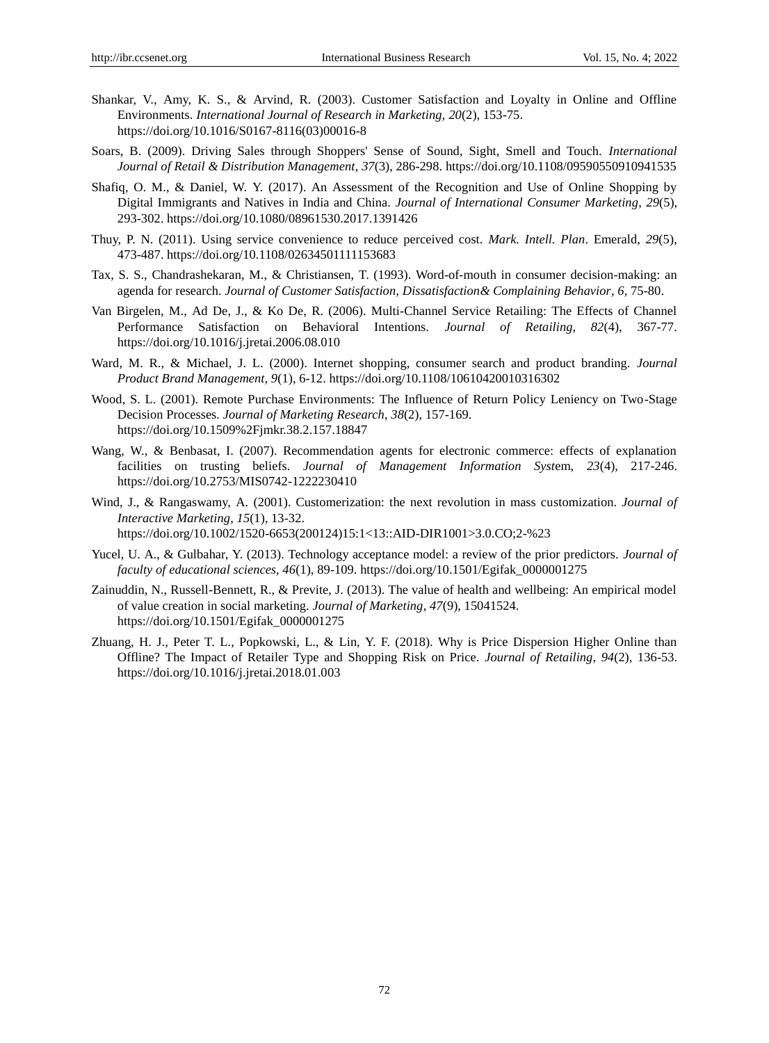- Shankar, V., Amy, K. S., & Arvind, R. (2003). Customer Satisfaction and Loyalty in Online and Offline Environments. *International Journal of Research in Marketing, 20*(2), 153-75. [https://doi.org/10.1016/S0167-8116\(03\)00016-8](https://doi.org/10.1016/S0167-8116(03)00016-8)
- Soars, B. (2009). Driving Sales through Shoppers' Sense of Sound, Sight, Smell and Touch. *International Journal of Retail & Distribution Management*, *37*(3), 286-298.<https://doi.org/10.1108/09590550910941535>
- Shafiq, O. M., & Daniel, W. Y. (2017). An Assessment of the Recognition and Use of Online Shopping by Digital Immigrants and Natives in India and China. *Journal of International Consumer Marketing*, *29*(5), 293-302.<https://doi.org/10.1080/08961530.2017.1391426>
- Thuy, P. N. (2011). Using service convenience to reduce perceived cost. *Mark. Intell. Plan*. Emerald, *29*(5), 473-487.<https://doi.org/10.1108/02634501111153683>
- Tax, S. S., Chandrashekaran, M., & Christiansen, T. (1993). Word-of-mouth in consumer decision-making: an agenda for research. *Journal of Customer Satisfaction, Dissatisfaction& Complaining Behavior*, *6,* 75-80.
- Van Birgelen, M., Ad De, J., & Ko De, R. (2006). Multi-Channel Service Retailing: The Effects of Channel Performance Satisfaction on Behavioral Intentions. *Journal of Retailing, 82*(4), 367-77. <https://doi.org/10.1016/j.jretai.2006.08.010>
- Ward, M. R., & Michael, J. L. (2000). Internet shopping, consumer search and product branding. *Journal Product Brand Management, 9*(1), 6-12.<https://doi.org/10.1108/10610420010316302>
- Wood, S. L. (2001). Remote Purchase Environments: The Influence of Return Policy Leniency on Two-Stage Decision Processes. *Journal of Marketing Research*, *38*(2), 157-169. <https://doi.org/10.1509%2Fjmkr.38.2.157.18847>
- Wang, W., & Benbasat, I. (2007). Recommendation agents for electronic commerce: effects of explanation facilities on trusting beliefs. *Journal of Management Information Syst*em, *23*(4), 217-246. <https://doi.org/10.2753/MIS0742-1222230410>
- Wind, J., & Rangaswamy, A. (2001). Customerization: the next revolution in mass customization. *Journal of Interactive Marketing*, *15*(1), 13-32. https://doi.org/10.1002/1520-6653(200124)15:1<13::AID-DIR1001>3.0.CO;2-%23
- Yucel, U. A., & Gulbahar, Y. (2013). Technology acceptance model: a review of the prior predictors. *Journal of faculty of educational sciences, 46*(1), 89-109. [https://doi.org/10.1501/Egifak\\_0000001275](https://doi.org/10.1501/Egifak_0000001275)
- Zainuddin, N., Russell-Bennett, R., & Previte, J. (2013). The value of health and wellbeing: An empirical model of value creation in social marketing. *Journal of Marketing*, *47*(9), 15041524. [https://doi.org/10.1501/Egifak\\_0000001275](https://doi.org/10.1501/Egifak_0000001275)
- Zhuang, H. J., Peter T. L., Popkowski, L., & Lin, Y. F. (2018). Why is Price Dispersion Higher Online than Offline? The Impact of Retailer Type and Shopping Risk on Price. *Journal of Retailing*, *94*(2), 136-53. <https://doi.org/10.1016/j.jretai.2018.01.003>